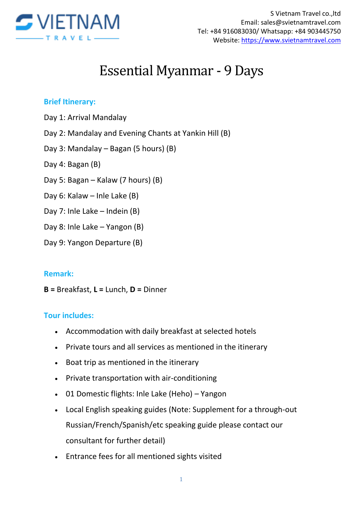

# Essential Myanmar - 9 Days

#### **Brief Itinerary:**

- Day 1: Arrival Mandalay
- Day 2: Mandalay and Evening Chants at Yankin Hill (B)
- Day 3: Mandalay Bagan (5 hours) (B)
- Day 4: Bagan (B)
- Day 5: Bagan Kalaw (7 hours) (B)
- Day 6: Kalaw Inle Lake (B)
- Day 7: Inle Lake Indein (B)
- Day 8: Inle Lake Yangon (B)
- Day 9: Yangon Departure (B)

#### **Remark:**

**B =** Breakfast, **L =** Lunch, **D =** Dinner

#### **Tour includes:**

- Accommodation with daily breakfast at selected hotels
- Private tours and all services as mentioned in the itinerary
- Boat trip as mentioned in the itinerary
- Private transportation with air-conditioning
- 01 Domestic flights: Inle Lake (Heho) Yangon
- Local English speaking guides (Note: Supplement for a through-out Russian/French/Spanish/etc speaking guide please contact our consultant for further detail)
- Entrance fees for all mentioned sights visited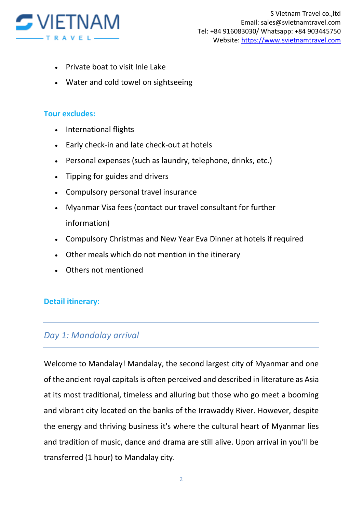

- Private boat to visit Inle Lake
- Water and cold towel on sightseeing

#### **Tour excludes:**

- International flights
- Early check-in and late check-out at hotels
- Personal expenses (such as laundry, telephone, drinks, etc.)
- Tipping for guides and drivers
- Compulsory personal travel insurance
- Myanmar Visa fees (contact our travel consultant for further information)
- Compulsory Christmas and New Year Eva Dinner at hotels if required
- Other meals which do not mention in the itinerary
- Others not mentioned

#### **Detail itinerary:**

# *Day 1: Mandalay arrival*

Welcome to Mandalay! Mandalay, the second largest city of Myanmar and one of the ancient royal capitals is often perceived and described in literature as Asia at its most traditional, timeless and alluring but those who go meet a booming and vibrant city located on the banks of the Irrawaddy River. However, despite the energy and thriving business it's where the cultural heart of Myanmar lies and tradition of music, dance and drama are still alive. Upon arrival in you'll be transferred (1 hour) to Mandalay city.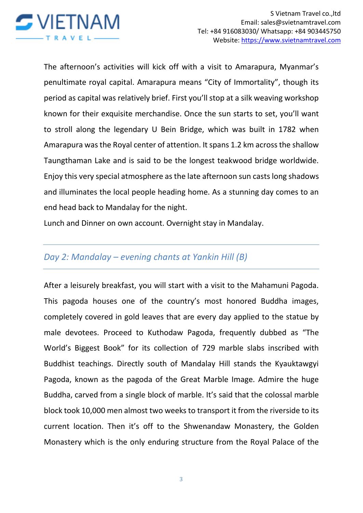

The afternoon's activities will kick off with a visit to Amarapura, Myanmar's penultimate royal capital. Amarapura means "City of Immortality", though its period as capital was relatively brief. First you'll stop at a silk weaving workshop known for their exquisite merchandise. Once the sun starts to set, you'll want to stroll along the legendary U Bein Bridge, which was built in 1782 when Amarapura was the Royal center of attention. It spans 1.2 km across the shallow Taungthaman Lake and is said to be the longest teakwood bridge worldwide. Enjoy this very special atmosphere as the late afternoon sun casts long shadows and illuminates the local people heading home. As a stunning day comes to an end head back to Mandalay for the night.

Lunch and Dinner on own account. Overnight stay in Mandalay.

# *Day 2: Mandalay – evening chants at Yankin Hill (B)*

After a leisurely breakfast, you will start with a visit to the Mahamuni Pagoda. This pagoda houses one of the country's most honored Buddha images, completely covered in gold leaves that are every day applied to the statue by male devotees. Proceed to Kuthodaw Pagoda, frequently dubbed as "The World's Biggest Book" for its collection of 729 marble slabs inscribed with Buddhist teachings. Directly south of Mandalay Hill stands the Kyauktawgyi Pagoda, known as the pagoda of the Great Marble Image. Admire the huge Buddha, carved from a single block of marble. It's said that the colossal marble block took 10,000 men almost two weeks to transport it from the riverside to its current location. Then it's off to the Shwenandaw Monastery, the Golden Monastery which is the only enduring structure from the Royal Palace of the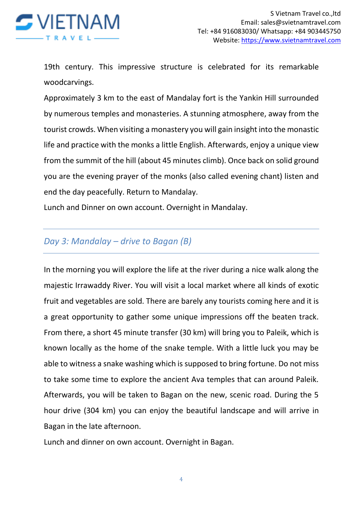

19th century. This impressive structure is celebrated for its remarkable woodcarvings.

Approximately 3 km to the east of Mandalay fort is the Yankin Hill surrounded by numerous temples and monasteries. A stunning atmosphere, away from the tourist crowds. When visiting a monastery you will gain insight into the monastic life and practice with the monks a little English. Afterwards, enjoy a unique view from the summit of the hill (about 45 minutes climb). Once back on solid ground you are the evening prayer of the monks (also called evening chant) listen and end the day peacefully. Return to Mandalay.

Lunch and Dinner on own account. Overnight in Mandalay.

#### *Day 3: Mandalay – drive to Bagan (B)*

In the morning you will explore the life at the river during a nice walk along the majestic Irrawaddy River. You will visit a local market where all kinds of exotic fruit and vegetables are sold. There are barely any tourists coming here and it is a great opportunity to gather some unique impressions off the beaten track. From there, a short 45 minute transfer (30 km) will bring you to Paleik, which is known locally as the home of the snake temple. With a little luck you may be able to witness a snake washing which is supposed to bring fortune. Do not miss to take some time to explore the ancient Ava temples that can around Paleik. Afterwards, you will be taken to Bagan on the new, scenic road. During the 5 hour drive (304 km) you can enjoy the beautiful landscape and will arrive in Bagan in the late afternoon.

Lunch and dinner on own account. Overnight in Bagan.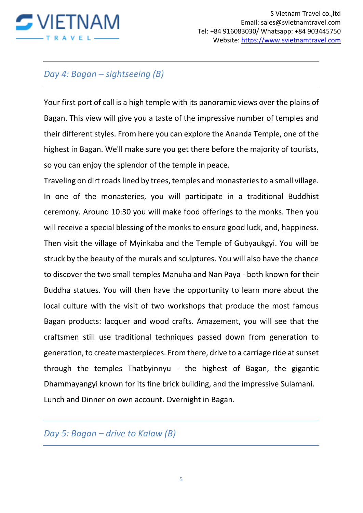

# *Day 4: Bagan – sightseeing (B)*

Your first port of call is a high temple with its panoramic views over the plains of Bagan. This view will give you a taste of the impressive number of temples and their different styles. From here you can explore the Ananda Temple, one of the highest in Bagan. We'll make sure you get there before the majority of tourists, so you can enjoy the splendor of the temple in peace.

Traveling on dirt roads lined by trees, temples and monasteries to a small village. In one of the monasteries, you will participate in a traditional Buddhist ceremony. Around 10:30 you will make food offerings to the monks. Then you will receive a special blessing of the monks to ensure good luck, and, happiness. Then visit the village of Myinkaba and the Temple of Gubyaukgyi. You will be struck by the beauty of the murals and sculptures. You will also have the chance to discover the two small temples Manuha and Nan Paya - both known for their Buddha statues. You will then have the opportunity to learn more about the local culture with the visit of two workshops that produce the most famous Bagan products: lacquer and wood crafts. Amazement, you will see that the craftsmen still use traditional techniques passed down from generation to generation, to create masterpieces. From there, drive to a carriage ride at sunset through the temples Thatbyinnyu - the highest of Bagan, the gigantic Dhammayangyi known for its fine brick building, and the impressive Sulamani. Lunch and Dinner on own account. Overnight in Bagan.

*Day 5: Bagan – drive to Kalaw (B)*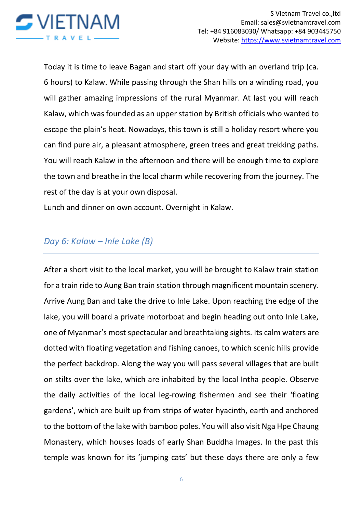

Today it is time to leave Bagan and start off your day with an overland trip (ca. 6 hours) to Kalaw. While passing through the Shan hills on a winding road, you will gather amazing impressions of the rural Myanmar. At last you will reach Kalaw, which was founded as an upper station by British officials who wanted to escape the plain's heat. Nowadays, this town is still a holiday resort where you can find pure air, a pleasant atmosphere, green trees and great trekking paths. You will reach Kalaw in the afternoon and there will be enough time to explore the town and breathe in the local charm while recovering from the journey. The rest of the day is at your own disposal.

Lunch and dinner on own account. Overnight in Kalaw.

# *Day 6: Kalaw – Inle Lake (B)*

After a short visit to the local market, you will be brought to Kalaw train station for a train ride to Aung Ban train station through magnificent mountain scenery. Arrive Aung Ban and take the drive to Inle Lake. Upon reaching the edge of the lake, you will board a private motorboat and begin heading out onto Inle Lake, one of Myanmar's most spectacular and breathtaking sights. Its calm waters are dotted with floating vegetation and fishing canoes, to which scenic hills provide the perfect backdrop. Along the way you will pass several villages that are built on stilts over the lake, which are inhabited by the local Intha people. Observe the daily activities of the local leg-rowing fishermen and see their 'floating gardens', which are built up from strips of water hyacinth, earth and anchored to the bottom of the lake with bamboo poles. You will also visit Nga Hpe Chaung Monastery, which houses loads of early Shan Buddha Images. In the past this temple was known for its 'jumping cats' but these days there are only a few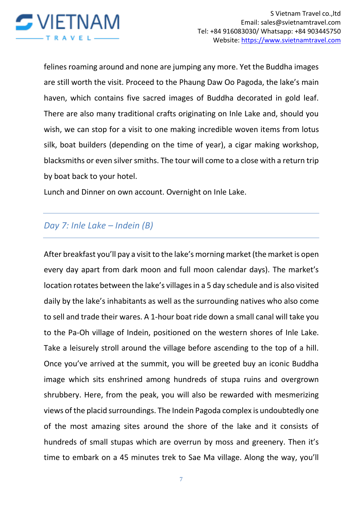

felines roaming around and none are jumping any more. Yet the Buddha images are still worth the visit. Proceed to the Phaung Daw Oo Pagoda, the lake's main haven, which contains five sacred images of Buddha decorated in gold leaf. There are also many traditional crafts originating on Inle Lake and, should you wish, we can stop for a visit to one making incredible woven items from lotus silk, boat builders (depending on the time of year), a cigar making workshop, blacksmiths or even silver smiths. The tour will come to a close with a return trip by boat back to your hotel.

Lunch and Dinner on own account. Overnight on Inle Lake.

# *Day 7: Inle Lake – Indein (B)*

After breakfast you'll pay a visit to the lake's morning market (the market is open every day apart from dark moon and full moon calendar days). The market's location rotates between the lake's villages in a 5 day schedule and is also visited daily by the lake's inhabitants as well as the surrounding natives who also come to sell and trade their wares. A 1-hour boat ride down a small canal will take you to the Pa-Oh village of Indein, positioned on the western shores of Inle Lake. Take a leisurely stroll around the village before ascending to the top of a hill. Once you've arrived at the summit, you will be greeted buy an iconic Buddha image which sits enshrined among hundreds of stupa ruins and overgrown shrubbery. Here, from the peak, you will also be rewarded with mesmerizing views of the placid surroundings. The Indein Pagoda complex is undoubtedly one of the most amazing sites around the shore of the lake and it consists of hundreds of small stupas which are overrun by moss and greenery. Then it's time to embark on a 45 minutes trek to Sae Ma village. Along the way, you'll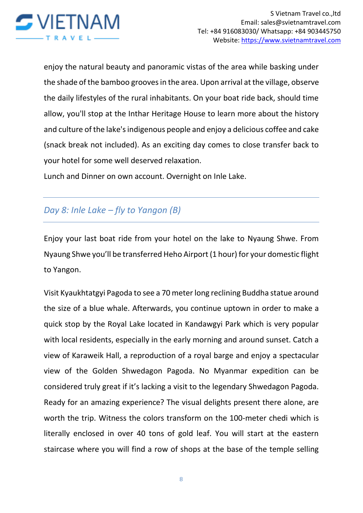

enjoy the natural beauty and panoramic vistas of the area while basking under the shade of the bamboo grooves in the area. Upon arrival at the village, observe the daily lifestyles of the rural inhabitants. On your boat ride back, should time allow, you'll stop at the Inthar Heritage House to learn more about the history and culture of the lake's indigenous people and enjoy a delicious coffee and cake (snack break not included). As an exciting day comes to close transfer back to your hotel for some well deserved relaxation.

Lunch and Dinner on own account. Overnight on Inle Lake.

# *Day 8: Inle Lake – fly to Yangon (B)*

Enjoy your last boat ride from your hotel on the lake to Nyaung Shwe. From Nyaung Shwe you'll be transferred Heho Airport (1 hour) for your domestic flight to Yangon.

Visit Kyaukhtatgyi Pagoda to see a 70 meter long reclining Buddha statue around the size of a blue whale. Afterwards, you continue uptown in order to make a quick stop by the Royal Lake located in Kandawgyi Park which is very popular with local residents, especially in the early morning and around sunset. Catch a view of Karaweik Hall, a reproduction of a royal barge and enjoy a spectacular view of the Golden Shwedagon Pagoda. No Myanmar expedition can be considered truly great if it's lacking a visit to the legendary Shwedagon Pagoda. Ready for an amazing experience? The visual delights present there alone, are worth the trip. Witness the colors transform on the 100-meter chedi which is literally enclosed in over 40 tons of gold leaf. You will start at the eastern staircase where you will find a row of shops at the base of the temple selling